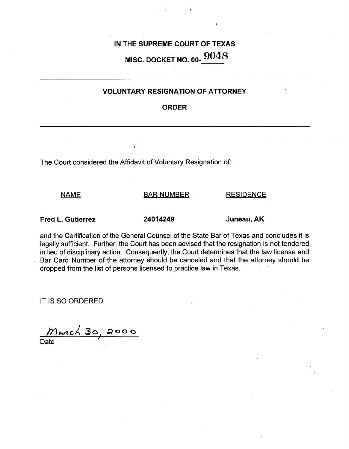# **IN THE SUPREME** COURT OF TEXAS

**MISC. DOCKET NO. 00-** 9048

### VOLUNTARY **RESIGNATION** OF ATTORNEY

#### **ORDER**

The Court considered the Affidavit of Voluntary **Resignation of:**

NAME BAR NUMBER RESIDENCE

Fred L. Gutierrez 24014249 Juneau, AK

and the Certification of the General Counsel of the State Bar of Texas and concludes it is legally sufficient. Further, the Court has been advised that the resignation is not tendered in lieu of disciplinary action. Consequently, the Court determines that the law license and Bar Card Number of the attorney should be canceled and that the attorney should be dropped from the list of persons licensed to practice law in Texas.

IT IS SO ORDERED.

<u>March 30, 2000</u> **Date**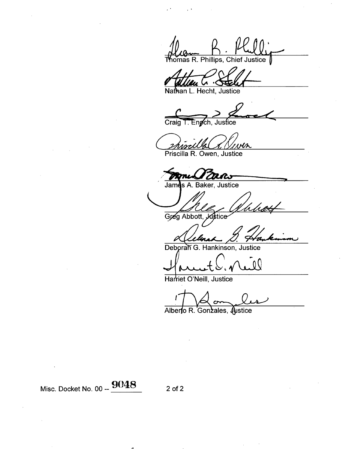Thomas R. Phillips, Chief Justice

L. Hecht, Justice

Engch, Justice  $\frac{1}{\text{Craig}}$ 

Priscilla R. Owen, Justice

**Man**<br>A. Baker, Justice

Jami

Greg Abbott, *Justice* 

Deborah G. Hankinson, Justice

 $\tilde{\mu}$ 

Harriet O'Neill, Justice

Alberto R. Gonzales, Oustice

 $\sim$ 

Misc. Docket No. 00  $-\frac{9048}{2012}$  2 of 2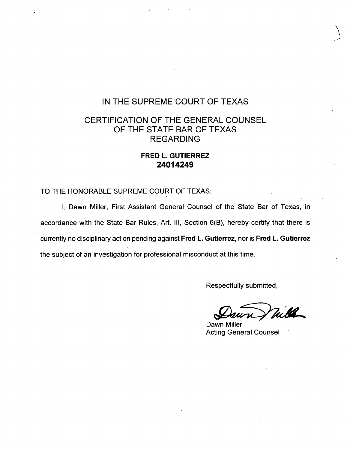# **IN THE SUPREME'COURT** OF TEXAS

## CERTIFICATION OF THE GENERAL COUNSEL OF THE STATE BAR OF TEXAS REGARDING

#### FRED L. GUTIERREZ 24014249

#### TO THE HONORABLE SUPREME COURT OF TEXAS:

I, Dawn Miller, First Assistant General Counsel of the State Bar of Texas, in accordance with the State Bar Rules, Art. III, Section 6(B), hereby certify that there is currently no disciplinary action pending **against Fred L. Gutierrez,** nor is **Fred L. Gutierrez** the subject of an investigation for professional misconduct at this time.

Respectfully submitted,

Will

Dawn Miller Acting General Counsel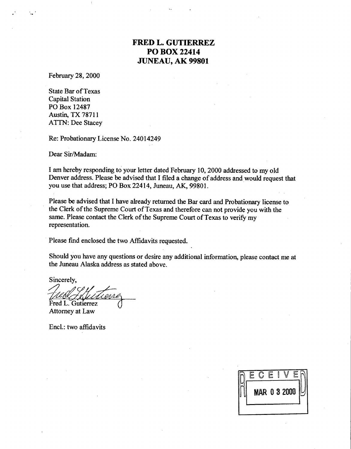## FRED L. GUTIERREZ PO BOX 22414 JUNEAU, AK 99801

February 28, 2000

State Bar of Texas Capital Station PO Box 12487 Austin, TX 78711 ATTN: Dee Stacey

Re: Probationary License No. 24014249

Dear Sir/Madam:

I am hereby responding to your letter dated February 10, 2000 addressed to my old Denver address. Please be advised that I filed a change of address and would request that you use that address; PO Box 22414, Juneau, AK, 99801.

Please be advised that I have already returned the Bar card and Probationary license to the Clerk of the Supreme Court of Texas and therefore can not provide you with the same. Please contact the Clerk of the Supreme Court of Texas to verify my representation.

Please fmd **enclosed the** two Affidavits requested.

Should you have any questions or desire any additional information, please contact me at the Juneau Alaska address as stated above.

Sincerely,

Fred L. Gutierrez

Attorney at Law

Encl.: two affidavits

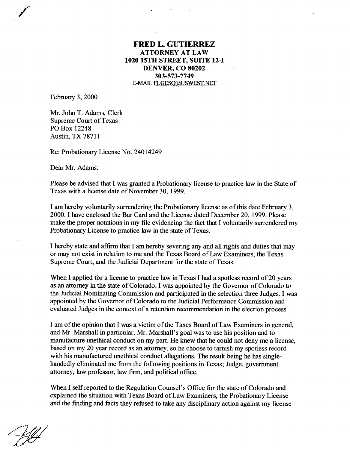#### **FRED L. GUTIERREZ** ATTORNEY AT LAW **1020 15TH STREET, SUITE 12-I DENVER, CO 80202 303-573-7749** E-MAIL FLGESQ@USWEST.NET

February 3, 2000

Mr. John T. Adams, Clerk Supreme Court of Texas PO Box 12248 Austin, TX 78711

Re: Probationary License No. 24014249

Dear Mr. Adams:

Please be advised that I was granted a Probationary license to practice law in the State of Texas with a license date of November 30, 1999.

I am hereby voluntarily surrendering the Probationary license as of this date February 3, 2000. I have enclosed the Bar Card and the License dated December 20, 1999. Please make the proper notations in my file evidencing the fact that I voluntarily surrendered my Probationary License to practice law in the state of Texas.

I hereby state and affirm that I am hereby severing any and all rights and duties that may or may not exist in relation to me and the Texas Board of Law Examiners, the Texas Supreme Court, and the Judicial Department for the state of Texas.

When I applied for a license to practice law in Texas I had a spotless record of 20 years as an attorney in the state of Colorado. I was appointed by the Governor of Colorado to the Judicial Nominating Commission and participated in the selection three Judges. I was appointed by the Governor of Colorado to the Judicial Performance Commission and evaluated Judges in the context of a retention recommendation in the election process.

I am of the opinion that I was a victim of the Taxes Board of Law Examiners in general, and Mr. Marshall in particular. Mr. Marshall's goal was to use his position and to manufacture unethical conduct on my part. He knew that he could not deny me a license, based on my 20 year record as an attorney, so he choose to tarnish my spotless record with his manufactured unethical conduct allegations. The result being he has singlehandedly eliminated me from the following positions in Texas; Judge, government attorney, law professor, law firm, and political office.

When I self reported to the Regulation Counsel's Office for the state of Colorado and explained the situation with Texas Board of Law Examiners, the Probationary License and the finding and facts they refused to take any disciplinary action against my license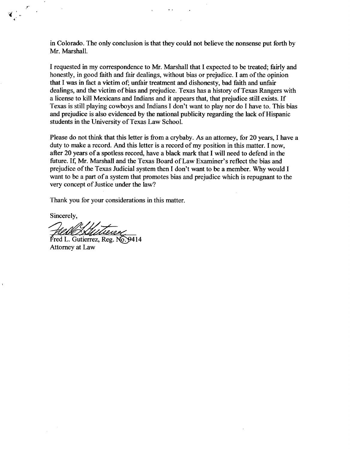in Colorado. The only conclusion is that they could not believe the nonsense put forth by Mr. Marshall.

 $\sim$   $\sim$ 

I requested in my correspondence to Mr. Marshall that I expected to be treated; fairly and honestly, in good faith and fair dealings, without bias or prejudice. I am of the opinion that I was in fact a victim of, unfair treatment and dishonesty, bad faith and unfair dealings, and the victim of bias and prejudice. Texas has a history of Texas Rangers with a license to kill Mexicans and Indians and it appears that, that prejudice still exists. If Texas is still playing cowboys and Indians I don't want to play nor do I have to. This bias and prejudice is also evidenced by the national publicity regarding the lack of Hispanic students in the University of Texas Law School.

Please do not think that this letter is from a crybaby. As an attorney, for 20 years, I have a duty to make a record. And this letter is a record of my position in this matter. I now, after 20 years of a spotless record, have a black mark that I will need to defend in the future. If, Mr. Marshall and the Texas Board of Law Examiner's reflect the bias and prejudice of the Texas Judicial system then I don't want to be a member. Why would I want to be a part of a system that promotes bias and prejudice which is repugnant to the very concept of Justice under the law?

Thank you **for your considerations in this matter.**

Sincerely,

<u>XUllener</u>

Fred L. Gutierrez, Reg. No. 9414 Attorney at Law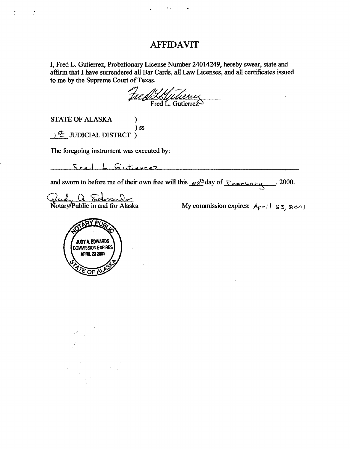## AFFIDAVIT

 $\mathbf{r}$  .

I, Fred L. Gutierrez, Probationary License Number 24014249, hereby swear, state and affirm that I have surrendered all Bar Cards, all Law Licenses, and all certificates issued to me by the Supreme Court of Texas.

tued Lyudieme

STATE OF ALASKA (a) **) ss**

 $\frac{1}{2}$  JUDICIAL DISTRCT )

The foregoing instrument was executed by:

Fred L. Gutierrez

and sworn to before me of their own free will this  $\mathscr{B}^{\text{Th}}_S$  day of  $\mathscr{C}$  behavior 2000.

<u>Puly Q. Sedesand</u>

My commission expires:  $A_{\text{pr}}$ ; | 23, 200 |

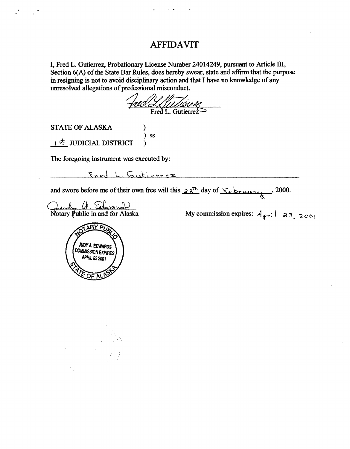## AFFIDAVTT

I, Fred L. Gutierrez, Probationary License Number 24014249, pursuant to Article III, Section 6(A) of the State Bar Rules, does hereby swear, state and affirm that the purpose in resigning is not to avoid disciplinary action and that I have no knowledge of any unresolved allegations of professional misconduct.

Ford Allinewe

STATE OF ALASKA

 $\downarrow \leq$  JUDICIAL DISTRICT

The foregoing **instrument** was executed by:

Fred L. Gutjerrez

) ss

and swore before me of their own free will this  $28^{7h}$  day of  $\leq$  bruery 2000.

Notary **public in and for Alaska** My commission expires:  $A_{\rho}$ <sup>1</sup>:  $\theta$  3, 2001